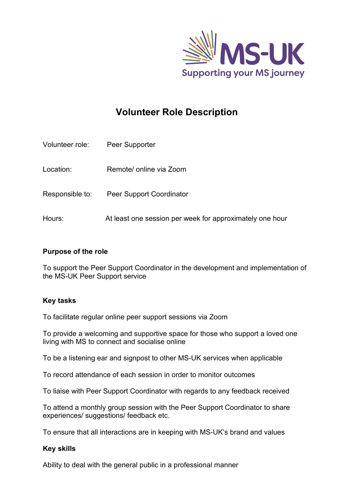

# **Volunteer Role Description**

| Volunteer role: | Peer Supporter                                           |
|-----------------|----------------------------------------------------------|
| Location:       | Remote/ online via Zoom                                  |
| Responsible to: | <b>Peer Support Coordinator</b>                          |
| Hours:          | At least one session per week for approximately one hour |

#### **Purpose of the role**

To support the Peer Support Coordinator in the development and implementation of the MS-UK Peer Support service

## **Key tasks**

To facilitate regular online peer support sessions via Zoom

To provide a welcoming and supportive space for those who support a loved one living with MS to connect and socialise online

To be a listening ear and signpost to other MS-UK services when applicable

To record attendance of each session in order to monitor outcomes

To liaise with Peer Support Coordinator with regards to any feedback received

To attend a monthly group session with the Peer Support Coordinator to share experiences/ suggestions/ feedback etc.

To ensure that all interactions are in keeping with MS-UK's brand and values

#### **Key skills**

Ability to deal with the general public in a professional manner